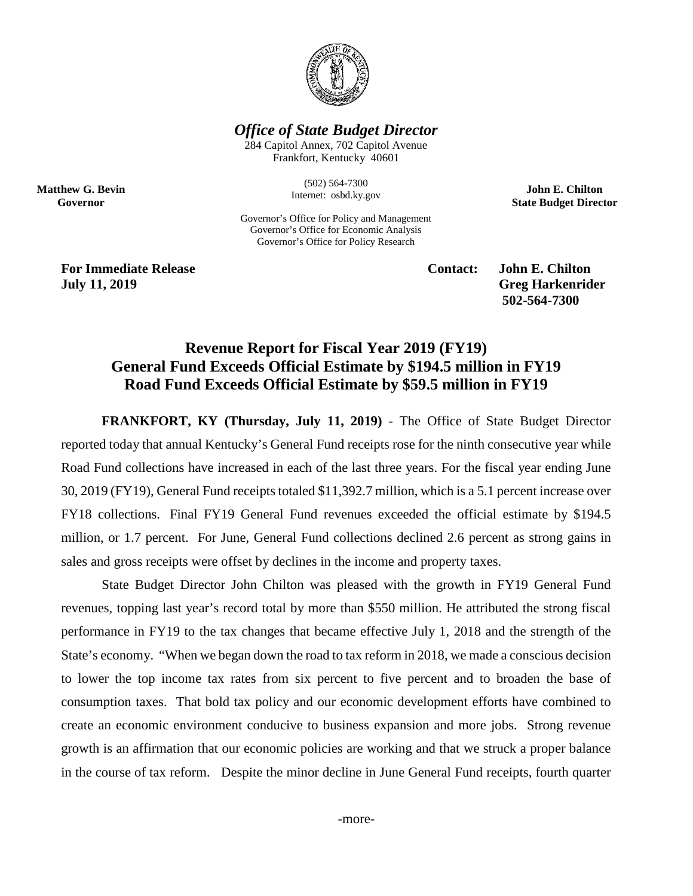

*Office of State Budget Director*

284 Capitol Annex, 702 Capitol Avenue Frankfort, Kentucky 40601

> (502) 564-7300 Internet: osbd.ky.gov

Governor's Office for Policy and Management Governor's Office for Economic Analysis Governor's Office for Policy Research

**John E. Chilton State Budget Director**

**For Immediate Release Contact: John E. Chilton July 11, 2019 Greg Harkenrider** 

**Matthew G. Bevin Governor**

**502-564-7300** 

# **Revenue Report for Fiscal Year 2019 (FY19) General Fund Exceeds Official Estimate by \$194.5 million in FY19 Road Fund Exceeds Official Estimate by \$59.5 million in FY19**

**FRANKFORT, KY (Thursday, July 11, 2019)** - The Office of State Budget Director reported today that annual Kentucky's General Fund receipts rose for the ninth consecutive year while Road Fund collections have increased in each of the last three years. For the fiscal year ending June 30, 2019 (FY19), General Fund receipts totaled \$11,392.7 million, which is a 5.1 percent increase over FY18 collections. Final FY19 General Fund revenues exceeded the official estimate by \$194.5 million, or 1.7 percent. For June, General Fund collections declined 2.6 percent as strong gains in sales and gross receipts were offset by declines in the income and property taxes.

State Budget Director John Chilton was pleased with the growth in FY19 General Fund revenues, topping last year's record total by more than \$550 million. He attributed the strong fiscal performance in FY19 to the tax changes that became effective July 1, 2018 and the strength of the State's economy. "When we began down the road to tax reform in 2018, we made a conscious decision to lower the top income tax rates from six percent to five percent and to broaden the base of consumption taxes. That bold tax policy and our economic development efforts have combined to create an economic environment conducive to business expansion and more jobs. Strong revenue growth is an affirmation that our economic policies are working and that we struck a proper balance in the course of tax reform. Despite the minor decline in June General Fund receipts, fourth quarter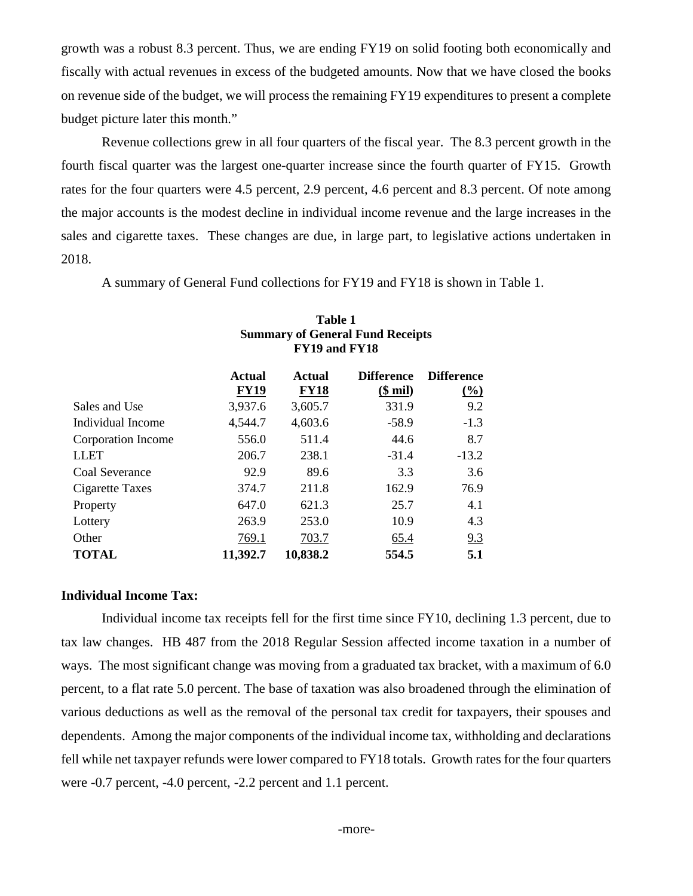growth was a robust 8.3 percent. Thus, we are ending FY19 on solid footing both economically and fiscally with actual revenues in excess of the budgeted amounts. Now that we have closed the books on revenue side of the budget, we will process the remaining FY19 expenditures to present a complete budget picture later this month."

Revenue collections grew in all four quarters of the fiscal year. The 8.3 percent growth in the fourth fiscal quarter was the largest one-quarter increase since the fourth quarter of FY15. Growth rates for the four quarters were 4.5 percent, 2.9 percent, 4.6 percent and 8.3 percent. Of note among the major accounts is the modest decline in individual income revenue and the large increases in the sales and cigarette taxes. These changes are due, in large part, to legislative actions undertaken in 2018.

A summary of General Fund collections for FY19 and FY18 is shown in Table 1.

|                    | <b>Summary of General Fund Receipts</b><br>FY19 and FY18 |                       |                                      |                                          |  |
|--------------------|----------------------------------------------------------|-----------------------|--------------------------------------|------------------------------------------|--|
|                    | <b>Actual</b><br><b>FY19</b>                             | Actual<br><b>FY18</b> | <b>Difference</b><br>( <b>§</b> mil) | <b>Difference</b><br>$\frac{(\%)}{(\%)}$ |  |
| Sales and Use      | 3,937.6                                                  | 3,605.7               | 331.9                                | 9.2                                      |  |
| Individual Income  | 4,544.7                                                  | 4,603.6               | $-58.9$                              | $-1.3$                                   |  |
| Corporation Income | 556.0                                                    | 511.4                 | 44.6                                 | 8.7                                      |  |
| <b>LLET</b>        | 206.7                                                    | 238.1                 | $-31.4$                              | $-13.2$                                  |  |
| Coal Severance     | 92.9                                                     | 89.6                  | 3.3                                  | 3.6                                      |  |
| Cigarette Taxes    | 374.7                                                    | 211.8                 | 162.9                                | 76.9                                     |  |
| Property           | 647.0                                                    | 621.3                 | 25.7                                 | 4.1                                      |  |
| Lottery            | 263.9                                                    | 253.0                 | 10.9                                 | 4.3                                      |  |
| Other              | 769.1                                                    | 703.7                 | 65.4                                 | 9.3                                      |  |
| <b>TOTAL</b>       | 11,392.7                                                 | 10,838.2              | 554.5                                | 5.1                                      |  |

# **Table 1**

# **Individual Income Tax:**

Individual income tax receipts fell for the first time since FY10, declining 1.3 percent, due to tax law changes. HB 487 from the 2018 Regular Session affected income taxation in a number of ways. The most significant change was moving from a graduated tax bracket, with a maximum of 6.0 percent, to a flat rate 5.0 percent. The base of taxation was also broadened through the elimination of various deductions as well as the removal of the personal tax credit for taxpayers, their spouses and dependents. Among the major components of the individual income tax, withholding and declarations fell while net taxpayer refunds were lower compared to FY18 totals. Growth rates for the four quarters were -0.7 percent, -4.0 percent, -2.2 percent and 1.1 percent.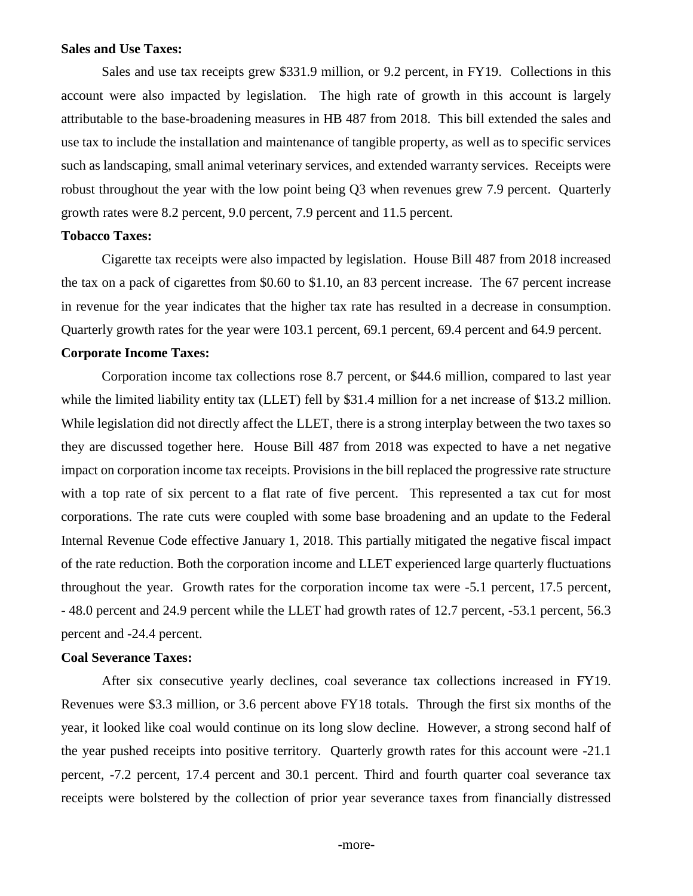#### **Sales and Use Taxes:**

Sales and use tax receipts grew \$331.9 million, or 9.2 percent, in FY19. Collections in this account were also impacted by legislation. The high rate of growth in this account is largely attributable to the base-broadening measures in HB 487 from 2018. This bill extended the sales and use tax to include the installation and maintenance of tangible property, as well as to specific services such as landscaping, small animal veterinary services, and extended warranty services. Receipts were robust throughout the year with the low point being Q3 when revenues grew 7.9 percent. Quarterly growth rates were 8.2 percent, 9.0 percent, 7.9 percent and 11.5 percent.

# **Tobacco Taxes:**

Cigarette tax receipts were also impacted by legislation. House Bill 487 from 2018 increased the tax on a pack of cigarettes from \$0.60 to \$1.10, an 83 percent increase. The 67 percent increase in revenue for the year indicates that the higher tax rate has resulted in a decrease in consumption. Quarterly growth rates for the year were 103.1 percent, 69.1 percent, 69.4 percent and 64.9 percent.

# **Corporate Income Taxes:**

Corporation income tax collections rose 8.7 percent, or \$44.6 million, compared to last year while the limited liability entity tax (LLET) fell by \$31.4 million for a net increase of \$13.2 million. While legislation did not directly affect the LLET, there is a strong interplay between the two taxes so they are discussed together here. House Bill 487 from 2018 was expected to have a net negative impact on corporation income tax receipts. Provisions in the bill replaced the progressive rate structure with a top rate of six percent to a flat rate of five percent. This represented a tax cut for most corporations. The rate cuts were coupled with some base broadening and an update to the Federal Internal Revenue Code effective January 1, 2018. This partially mitigated the negative fiscal impact of the rate reduction. Both the corporation income and LLET experienced large quarterly fluctuations throughout the year. Growth rates for the corporation income tax were -5.1 percent, 17.5 percent, - 48.0 percent and 24.9 percent while the LLET had growth rates of 12.7 percent, -53.1 percent, 56.3 percent and -24.4 percent.

# **Coal Severance Taxes:**

After six consecutive yearly declines, coal severance tax collections increased in FY19. Revenues were \$3.3 million, or 3.6 percent above FY18 totals. Through the first six months of the year, it looked like coal would continue on its long slow decline. However, a strong second half of the year pushed receipts into positive territory. Quarterly growth rates for this account were -21.1 percent, -7.2 percent, 17.4 percent and 30.1 percent. Third and fourth quarter coal severance tax receipts were bolstered by the collection of prior year severance taxes from financially distressed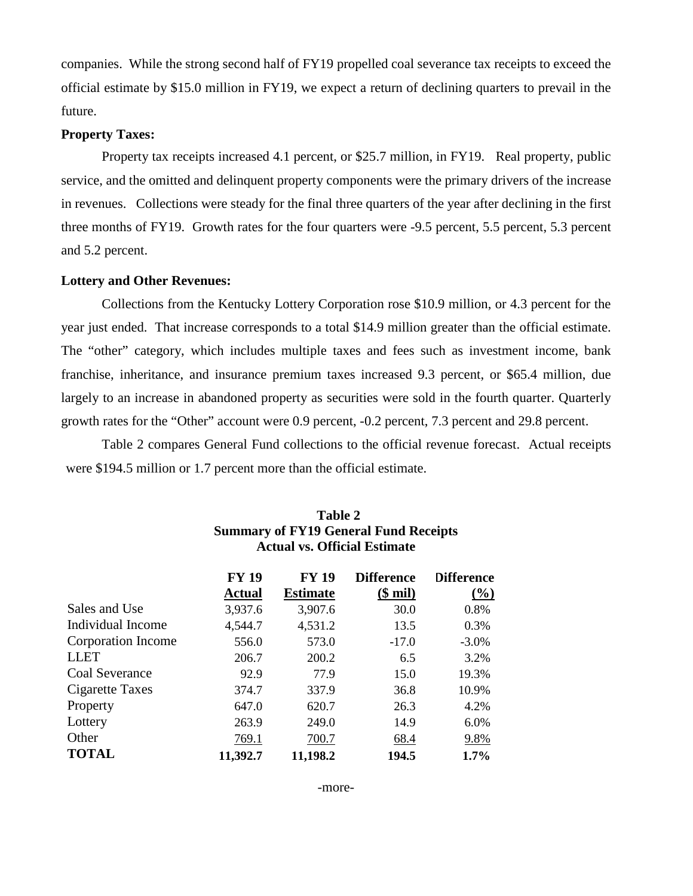companies. While the strong second half of FY19 propelled coal severance tax receipts to exceed the official estimate by \$15.0 million in FY19, we expect a return of declining quarters to prevail in the future.

# **Property Taxes:**

Property tax receipts increased 4.1 percent, or \$25.7 million, in FY19. Real property, public service, and the omitted and delinquent property components were the primary drivers of the increase in revenues. Collections were steady for the final three quarters of the year after declining in the first three months of FY19. Growth rates for the four quarters were -9.5 percent, 5.5 percent, 5.3 percent and 5.2 percent.

#### **Lottery and Other Revenues:**

Collections from the Kentucky Lottery Corporation rose \$10.9 million, or 4.3 percent for the year just ended. That increase corresponds to a total \$14.9 million greater than the official estimate. The "other" category, which includes multiple taxes and fees such as investment income, bank franchise, inheritance, and insurance premium taxes increased 9.3 percent, or \$65.4 million, due largely to an increase in abandoned property as securities were sold in the fourth quarter. Quarterly growth rates for the "Other" account were 0.9 percent, -0.2 percent, 7.3 percent and 29.8 percent.

Table 2 compares General Fund collections to the official revenue forecast. Actual receipts were \$194.5 million or 1.7 percent more than the official estimate.

|                    | <b>FY 19</b><br><b>Actual</b> | <b>FY 19</b><br><b>Estimate</b> | <b>Difference</b><br>$(\$$ mil $)$ | <b>Difference</b><br>$\frac{0}{0}$ |
|--------------------|-------------------------------|---------------------------------|------------------------------------|------------------------------------|
| Sales and Use      | 3,937.6                       | 3,907.6                         | 30.0                               | 0.8%                               |
| Individual Income  | 4,544.7                       | 4,531.2                         | 13.5                               | 0.3%                               |
| Corporation Income | 556.0                         | 573.0                           | $-17.0$                            | $-3.0\%$                           |
| <b>LLET</b>        | 206.7                         | 200.2                           | 6.5                                | 3.2%                               |
| Coal Severance     | 92.9                          | 77.9                            | 15.0                               | 19.3%                              |
| Cigarette Taxes    | 374.7                         | 337.9                           | 36.8                               | 10.9%                              |
| Property           | 647.0                         | 620.7                           | 26.3                               | 4.2%                               |
| Lottery            | 263.9                         | 249.0                           | 14.9                               | 6.0%                               |
| Other              | 769.1                         | 700.7                           | 68.4                               | 9.8%                               |
| <b>TOTAL</b>       | 11,392.7                      | 11,198.2                        | 194.5                              | 1.7%                               |

# **Table 2 Summary of FY19 General Fund Receipts Actual vs. Official Estimate**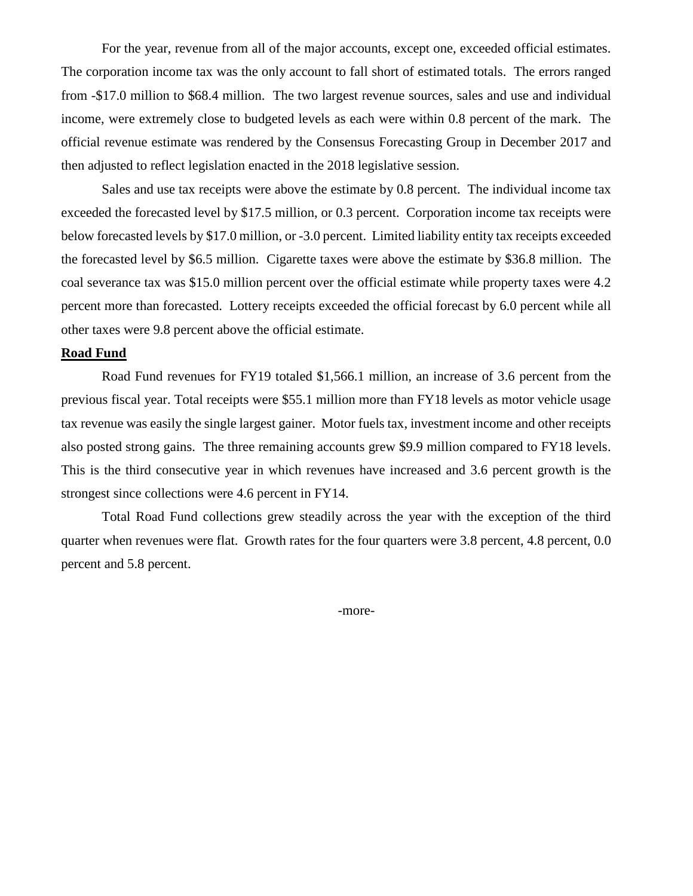For the year, revenue from all of the major accounts, except one, exceeded official estimates. The corporation income tax was the only account to fall short of estimated totals. The errors ranged from -\$17.0 million to \$68.4 million. The two largest revenue sources, sales and use and individual income, were extremely close to budgeted levels as each were within 0.8 percent of the mark. The official revenue estimate was rendered by the Consensus Forecasting Group in December 2017 and then adjusted to reflect legislation enacted in the 2018 legislative session.

Sales and use tax receipts were above the estimate by 0.8 percent. The individual income tax exceeded the forecasted level by \$17.5 million, or 0.3 percent. Corporation income tax receipts were below forecasted levels by \$17.0 million, or -3.0 percent. Limited liability entity tax receipts exceeded the forecasted level by \$6.5 million. Cigarette taxes were above the estimate by \$36.8 million. The coal severance tax was \$15.0 million percent over the official estimate while property taxes were 4.2 percent more than forecasted. Lottery receipts exceeded the official forecast by 6.0 percent while all other taxes were 9.8 percent above the official estimate.

# **Road Fund**

Road Fund revenues for FY19 totaled \$1,566.1 million, an increase of 3.6 percent from the previous fiscal year. Total receipts were \$55.1 million more than FY18 levels as motor vehicle usage tax revenue was easily the single largest gainer. Motor fuels tax, investment income and other receipts also posted strong gains. The three remaining accounts grew \$9.9 million compared to FY18 levels. This is the third consecutive year in which revenues have increased and 3.6 percent growth is the strongest since collections were 4.6 percent in FY14.

Total Road Fund collections grew steadily across the year with the exception of the third quarter when revenues were flat. Growth rates for the four quarters were 3.8 percent, 4.8 percent, 0.0 percent and 5.8 percent.

-more-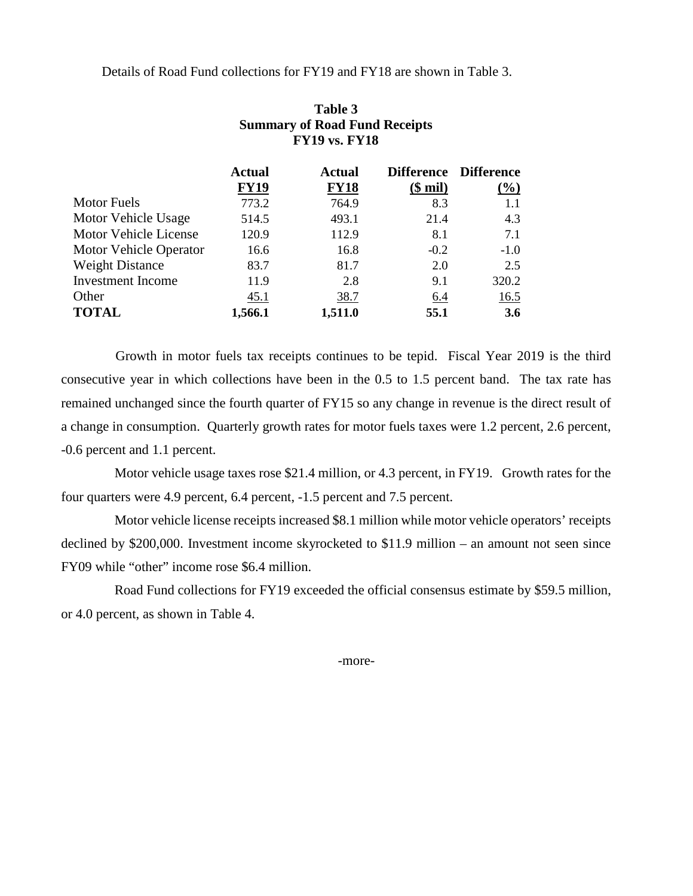Details of Road Fund collections for FY19 and FY18 are shown in Table 3.

**Table 3**

|                               | <b>Summary of Road Fund Receipts</b><br><b>FY19 vs. FY18</b> |                              |            |                                 |  |
|-------------------------------|--------------------------------------------------------------|------------------------------|------------|---------------------------------|--|
|                               | <b>Actual</b><br><b>FY19</b>                                 | <b>Actual</b><br><b>FY18</b> | $$$ mil)   | Difference Difference<br>$(\%)$ |  |
| <b>Motor Fuels</b>            | 773.2                                                        | 764.9                        | 8.3        | 1.1                             |  |
| Motor Vehicle Usage           | 514.5                                                        | 493.1                        | 21.4       | 4.3                             |  |
| Motor Vehicle License         | 120.9                                                        | 112.9                        | 8.1        | 7.1                             |  |
| <b>Motor Vehicle Operator</b> | 16.6                                                         | 16.8                         | $-0.2$     | $-1.0$                          |  |
| <b>Weight Distance</b>        | 83.7                                                         | 81.7                         | 2.0        | 2.5                             |  |
| Investment Income             | 11.9                                                         | 2.8                          | 9.1        | 320.2                           |  |
| Other                         | 45.1                                                         | 38.7                         | <u>6.4</u> | 16.5                            |  |
| <b>TOTAL</b>                  | 1,566.1                                                      | 1,511.0                      | 55.1       | <b>3.6</b>                      |  |

 Growth in motor fuels tax receipts continues to be tepid. Fiscal Year 2019 is the third consecutive year in which collections have been in the 0.5 to 1.5 percent band. The tax rate has remained unchanged since the fourth quarter of FY15 so any change in revenue is the direct result of a change in consumption. Quarterly growth rates for motor fuels taxes were 1.2 percent, 2.6 percent, -0.6 percent and 1.1 percent.

Motor vehicle usage taxes rose \$21.4 million, or 4.3 percent, in FY19. Growth rates for the four quarters were 4.9 percent, 6.4 percent, -1.5 percent and 7.5 percent.

Motor vehicle license receipts increased \$8.1 million while motor vehicle operators' receipts declined by \$200,000. Investment income skyrocketed to \$11.9 million – an amount not seen since FY09 while "other" income rose \$6.4 million.

Road Fund collections for FY19 exceeded the official consensus estimate by \$59.5 million, or 4.0 percent, as shown in Table 4.

-more-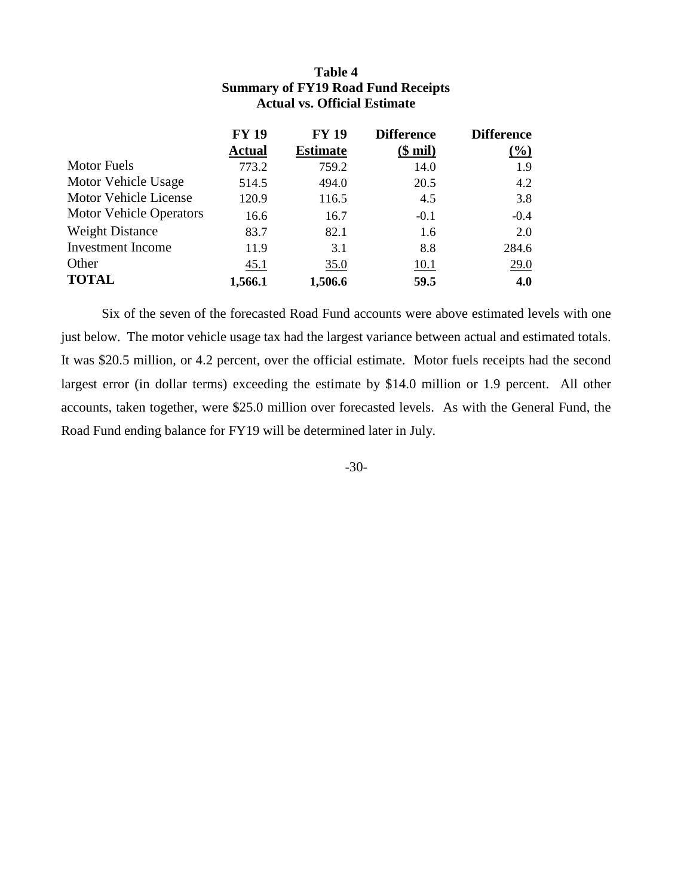|                                | <b>FY 19</b><br><b>Actual</b> | <b>FY 19</b><br><b>Estimate</b> | <b>Difference</b><br><u>(\$ mil)</u> | <b>Difference</b><br>$(\%)$ |
|--------------------------------|-------------------------------|---------------------------------|--------------------------------------|-----------------------------|
| Motor Fuels                    | 773.2                         | 759.2                           | 14.0                                 | 1.9                         |
| Motor Vehicle Usage            | 514.5                         | 494.0                           | 20.5                                 | 4.2                         |
| <b>Motor Vehicle License</b>   | 120.9                         | 116.5                           | 4.5                                  | 3.8                         |
| <b>Motor Vehicle Operators</b> | 16.6                          | 16.7                            | $-0.1$                               | $-0.4$                      |
| <b>Weight Distance</b>         | 83.7                          | 82.1                            | 1.6                                  | 2.0                         |
| <b>Investment</b> Income       | 11.9                          | 3.1                             | 8.8                                  | 284.6                       |
| Other                          | 45.1                          | 35.0                            | 10.1                                 | 29.0                        |
| <b>TOTAL</b>                   | 1,566.1                       | 1,506.6                         | 59.5                                 | 4.0                         |

# **Table 4 Summary of FY19 Road Fund Receipts Actual vs. Official Estimate**

Six of the seven of the forecasted Road Fund accounts were above estimated levels with one just below. The motor vehicle usage tax had the largest variance between actual and estimated totals. It was \$20.5 million, or 4.2 percent, over the official estimate. Motor fuels receipts had the second largest error (in dollar terms) exceeding the estimate by \$14.0 million or 1.9 percent. All other accounts, taken together, were \$25.0 million over forecasted levels. As with the General Fund, the Road Fund ending balance for FY19 will be determined later in July.

-30-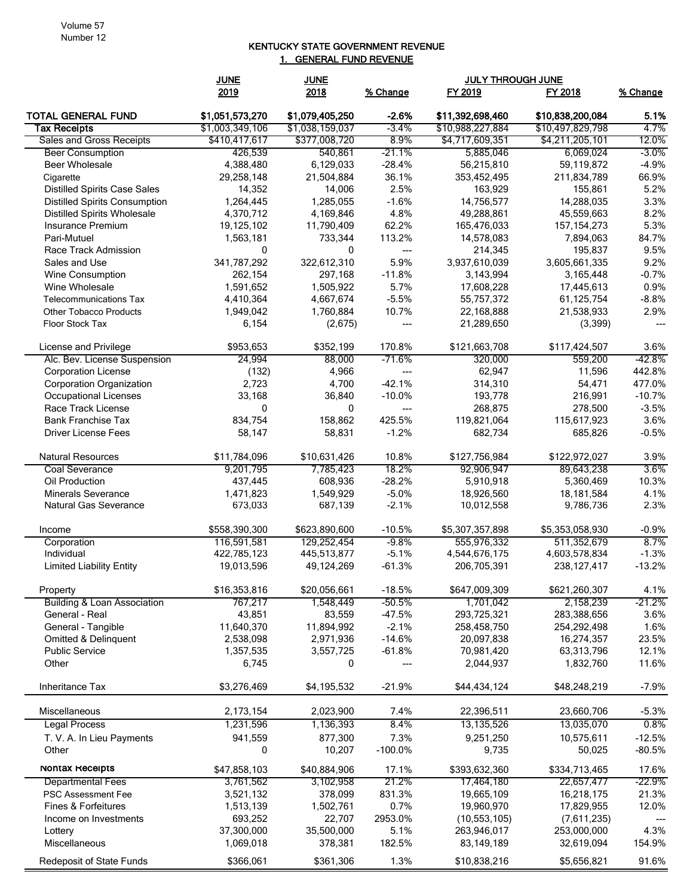#### KENTUCKY STATE GOVERNMENT REVENUE 1. GENERAL FUND REVENUE

|                                      | <b>JUNE</b>     | <b>JUNE</b>     |                | <b>JULY THROUGH JUNE</b> |                  |          |
|--------------------------------------|-----------------|-----------------|----------------|--------------------------|------------------|----------|
|                                      | 2019            | 2018            | % Change       | FY 2019                  | FY 2018          | % Change |
| <b>TOTAL GENERAL FUND</b>            | \$1,051,573,270 | \$1,079,405,250 | $-2.6%$        | \$11,392,698,460         | \$10,838,200,084 | 5.1%     |
| <b>Tax Receipts</b>                  | \$1,003,349,106 | \$1,038,159,037 | $-3.4%$        | \$10,988,227,884         | \$10,497,829,798 | 4.7%     |
| Sales and Gross Receipts             | \$410,417,617   | \$377,008,720   | 8.9%           | \$4,717,609,351          | \$4,211,205,101  | 12.0%    |
| <b>Beer Consumption</b>              | 426,539         | 540,861         | $-21.1\%$      | 5,885,046                | 6,069,024        | $-3.0\%$ |
| <b>Beer Wholesale</b>                | 4,388,480       | 6,129,033       | $-28.4%$       | 56,215,810               | 59,119,872       | $-4.9%$  |
| Cigarette                            | 29,258,148      | 21,504,884      | 36.1%          | 353,452,495              | 211,834,789      | 66.9%    |
| <b>Distilled Spirits Case Sales</b>  | 14,352          | 14,006          | 2.5%           | 163,929                  | 155,861          | 5.2%     |
| <b>Distilled Spirits Consumption</b> | 1,264,445       | 1,285,055       | $-1.6%$        | 14,756,577               | 14,288,035       | 3.3%     |
| <b>Distilled Spirits Wholesale</b>   | 4,370,712       | 4,169,846       | 4.8%           | 49,288,861               | 45,559,663       | 8.2%     |
| Insurance Premium                    | 19,125,102      | 11,790,409      | 62.2%          | 165,476,033              | 157, 154, 273    | 5.3%     |
| Pari-Mutuel                          | 1,563,181       | 733,344         | 113.2%         | 14,578,083               | 7,894,063        | 84.7%    |
| Race Track Admission                 | 0               | 0               | ---            | 214,345                  | 195,837          | 9.5%     |
| Sales and Use                        | 341,787,292     | 322,612,310     | 5.9%           | 3,937,610,039            | 3,605,661,335    | 9.2%     |
| Wine Consumption                     | 262,154         | 297,168         | $-11.8%$       | 3,143,994                | 3,165,448        | $-0.7%$  |
| Wine Wholesale                       | 1,591,652       | 1,505,922       | 5.7%           | 17,608,228               | 17,445,613       | 0.9%     |
| <b>Telecommunications Tax</b>        | 4,410,364       | 4,667,674       | $-5.5%$        | 55,757,372               | 61,125,754       | $-8.8%$  |
| <b>Other Tobacco Products</b>        | 1,949,042       | 1,760,884       | 10.7%          | 22,168,888               | 21,538,933       | 2.9%     |
| Floor Stock Tax                      | 6,154           | (2,675)         | ---            | 21,289,650               | (3, 399)         |          |
| License and Privilege                | \$953,653       | \$352,199       | 170.8%         | \$121,663,708            | \$117,424,507    | 3.6%     |
| Alc. Bev. License Suspension         | 24,994          | 88,000          | -71.6%         | 320,000                  | 559,200          | -42.8%   |
| <b>Corporation License</b>           | (132)           | 4,966           | $\overline{a}$ | 62,947                   | 11,596           | 442.8%   |
| <b>Corporation Organization</b>      | 2,723           | 4,700           | $-42.1%$       | 314,310                  | 54,471           | 477.0%   |
| <b>Occupational Licenses</b>         | 33,168          | 36,840          | $-10.0%$       | 193,778                  | 216,991          | $-10.7%$ |
| Race Track License                   | 0               | 0               |                | 268,875                  | 278,500          | $-3.5%$  |
| <b>Bank Franchise Tax</b>            | 834,754         | 158,862         | 425.5%         | 119,821,064              | 115,617,923      | 3.6%     |
| <b>Driver License Fees</b>           | 58,147          | 58,831          | $-1.2%$        | 682,734                  | 685,826          | $-0.5%$  |
| <b>Natural Resources</b>             | \$11,784,096    | \$10,631,426    | 10.8%          | \$127,756,984            | \$122,972,027    | 3.9%     |
| Coal Severance                       | 9,201,795       | 7,785,423       | 18.2%          | 92,906,947               | 89,643,238       | 3.6%     |
| Oil Production                       | 437,445         | 608,936         | $-28.2%$       | 5,910,918                | 5,360,469        | 10.3%    |
| <b>Minerals Severance</b>            | 1,471,823       | 1,549,929       | $-5.0%$        | 18,926,560               | 18,181,584       | 4.1%     |
| <b>Natural Gas Severance</b>         | 673,033         | 687,139         | $-2.1%$        | 10,012,558               | 9,786,736        | 2.3%     |
| Income                               | \$558,390,300   | \$623,890,600   | $-10.5%$       | \$5,307,357,898          | \$5,353,058,930  | $-0.9%$  |
| Corporation                          | 116,591,581     | 129,252,454     | $-9.8%$        | 555,976,332              | 511,352,679      | 8.7%     |
| Individual                           | 422,785,123     | 445,513,877     | $-5.1%$        | 4,544,676,175            | 4,603,578,834    | $-1.3%$  |
| <b>Limited Liability Entity</b>      | 19,013,596      | 49,124,269      | $-61.3%$       | 206,705,391              | 238, 127, 417    | $-13.2%$ |
| Property                             | \$16,353,816    | \$20,056,661    | $-18.5%$       | \$647,009,309            | \$621,260,307    | 4.1%     |
| Building & Loan Association          | 767,217         | 1,548,449       | -50.5%         | 1,701,042                | 2,158,239        | -21.2%   |
| General - Real                       | 43,851          | 83,559          | $-47.5%$       | 293,725,321              | 283,388,656      | 3.6%     |
| General - Tangible                   | 11,640,370      | 11,894,992      | $-2.1%$        | 258,458,750              | 254,292,498      | 1.6%     |
| <b>Omitted &amp; Delinquent</b>      | 2,538,098       | 2,971,936       | $-14.6%$       | 20,097,838               | 16,274,357       | 23.5%    |
| <b>Public Service</b>                | 1,357,535       | 3,557,725       | $-61.8%$       | 70,981,420               | 63,313,796       | 12.1%    |
| Other                                | 6,745           | 0               |                | 2,044,937                | 1,832,760        | 11.6%    |
| Inheritance Tax                      | \$3,276,469     | \$4,195,532     | $-21.9%$       | \$44,434,124             | \$48,248,219     | $-7.9%$  |
| Miscellaneous                        | 2,173,154       | 2,023,900       | 7.4%           | 22,396,511               | 23,660,706       | $-5.3%$  |
| <b>Legal Process</b>                 | 1,231,596       | 1,136,393       | 8.4%           | 13,135,526               | 13,035,070       | 0.8%     |
| T. V. A. In Lieu Payments            | 941,559         | 877,300         | 7.3%           | 9,251,250                | 10,575,611       | $-12.5%$ |
| Other                                | 0               | 10,207          | $-100.0%$      | 9,735                    | 50,025           | $-80.5%$ |
| Nontax Receipts                      | \$47,858,103    | \$40,884,906    | 17.1%          | \$393,632,360            | \$334,713,465    | 17.6%    |
| <b>Departmental Fees</b>             | 3,761,562       | 3,102,958       | 21.2%          | 17,464,180               | 22,657,477       | -22.9%   |
| <b>PSC Assessment Fee</b>            | 3,521,132       | 378,099         | 831.3%         | 19,665,109               | 16,218,175       | 21.3%    |
| <b>Fines &amp; Forfeitures</b>       | 1,513,139       | 1,502,761       | 0.7%           | 19,960,970               | 17,829,955       | 12.0%    |
| Income on Investments                | 693,252         | 22,707          | 2953.0%        | (10, 553, 105)           | (7,611,235)      |          |
| Lottery                              | 37,300,000      | 35,500,000      | 5.1%           | 263,946,017              | 253,000,000      | 4.3%     |
| Miscellaneous                        | 1,069,018       | 378,381         | 182.5%         | 83,149,189               | 32,619,094       | 154.9%   |
| Redeposit of State Funds             | \$366,061       | \$361,306       | 1.3%           | \$10,838,216             | \$5,656,821      | 91.6%    |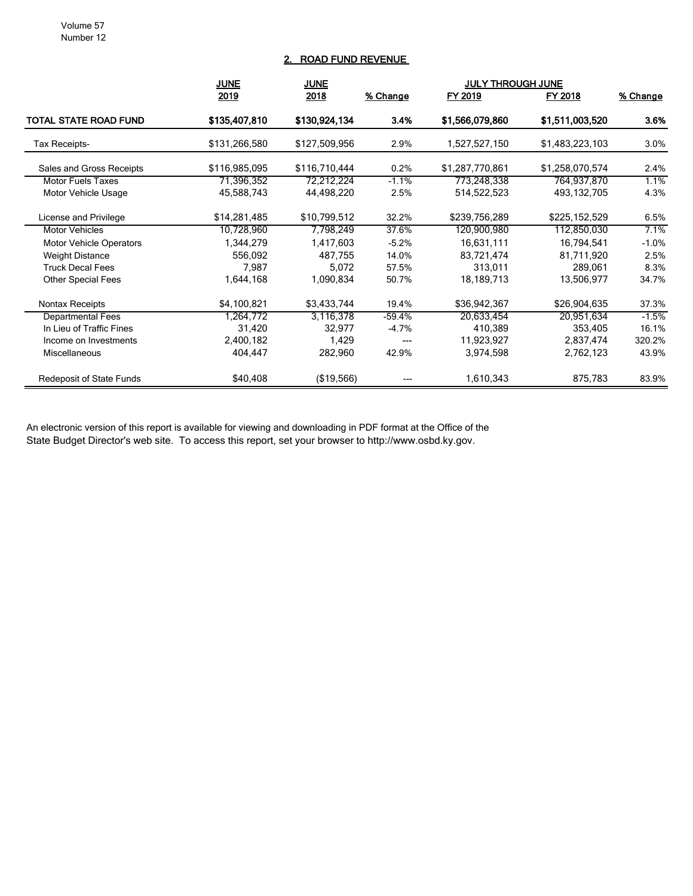# 2. ROAD FUND REVENUE

|                                 | <b>JUNE</b><br><b>JUNE</b> |               |          |                 |                 |                 |
|---------------------------------|----------------------------|---------------|----------|-----------------|-----------------|-----------------|
|                                 | 2019                       | 2018          | % Change | FY 2019         | FY 2018         | <u>% Change</u> |
| <b>TOTAL STATE ROAD FUND</b>    | \$135,407,810              | \$130,924,134 | 3.4%     | \$1,566,079,860 | \$1,511,003,520 | 3.6%            |
| Tax Receipts-                   | \$131,266,580              | \$127,509,956 | 2.9%     | 1,527,527,150   | \$1,483,223,103 | 3.0%            |
| Sales and Gross Receipts        | \$116,985,095              | \$116,710,444 | 0.2%     | \$1,287,770,861 | \$1,258,070,574 | 2.4%            |
| <b>Motor Fuels Taxes</b>        | 71,396,352                 | 72,212,224    | $-1.1%$  | 773,248,338     | 764,937,870     | 1.1%            |
| Motor Vehicle Usage             | 45,588,743                 | 44,498,220    | 2.5%     | 514,522,523     | 493, 132, 705   | 4.3%            |
| License and Privilege           | \$14,281,485               | \$10,799,512  | 32.2%    | \$239,756,289   | \$225,152,529   | 6.5%            |
| <b>Motor Vehicles</b>           | 10,728,960                 | 7,798,249     | 37.6%    | 120,900,980     | 112,850,030     | 7.1%            |
| <b>Motor Vehicle Operators</b>  | 1,344,279                  | 1,417,603     | $-5.2%$  | 16,631,111      | 16,794,541      | $-1.0%$         |
| <b>Weight Distance</b>          | 556,092                    | 487,755       | 14.0%    | 83,721,474      | 81,711,920      | 2.5%            |
| <b>Truck Decal Fees</b>         | 7,987                      | 5,072         | 57.5%    | 313,011         | 289,061         | 8.3%            |
| <b>Other Special Fees</b>       | 1,644,168                  | 1,090,834     | 50.7%    | 18,189,713      | 13,506,977      | 34.7%           |
| Nontax Receipts                 | \$4,100,821                | \$3,433,744   | 19.4%    | \$36,942,367    | \$26,904,635    | 37.3%           |
| <b>Departmental Fees</b>        | 1,264,772                  | 3,116,378     | $-59.4%$ | 20,633,454      | 20,951,634      | $-1.5%$         |
| In Lieu of Traffic Fines        | 31,420                     | 32,977        | $-4.7%$  | 410,389         | 353,405         | 16.1%           |
| Income on Investments           | 2,400,182                  | 1,429         | ---      | 11,923,927      | 2,837,474       | 320.2%          |
| Miscellaneous                   | 404,447                    | 282,960       | 42.9%    | 3,974,598       | 2,762,123       | 43.9%           |
| <b>Redeposit of State Funds</b> | \$40,408                   | (\$19,566)    |          | 1,610,343       | 875,783         | 83.9%           |

An electronic version of this report is available for viewing and downloading in PDF format at the Office of the State Budget Director's web site. To access this report, set your browser to http://www.osbd.ky.gov.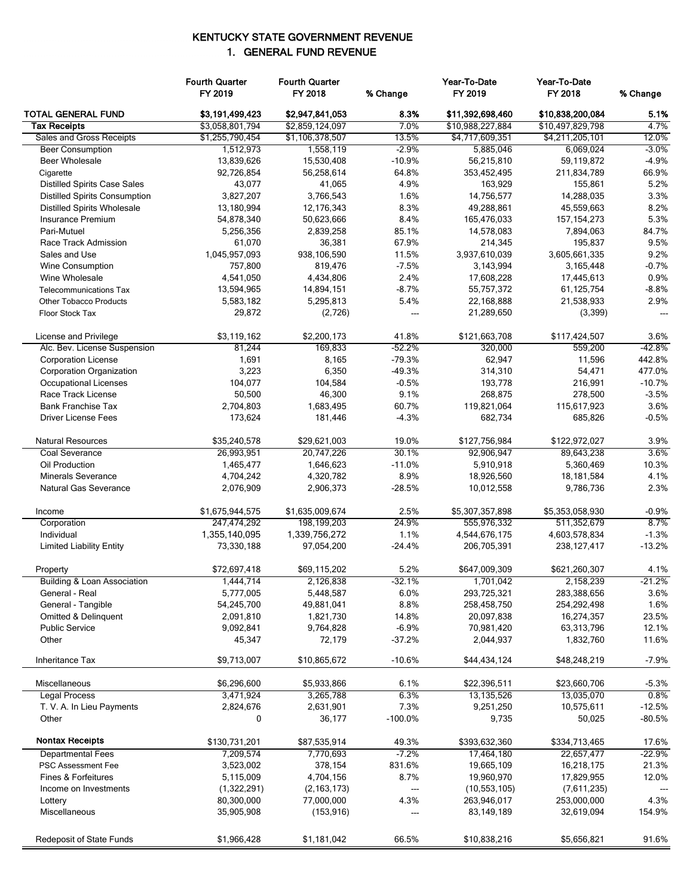# KENTUCKY STATE GOVERNMENT REVENUE 1. GENERAL FUND REVENUE

|                                        | <b>Fourth Quarter</b><br>FY 2019 | <b>Fourth Quarter</b><br>FY 2018 | % Change                         | Year-To-Date<br>FY 2019     | Year-To-Date<br>FY 2018   | % Change          |
|----------------------------------------|----------------------------------|----------------------------------|----------------------------------|-----------------------------|---------------------------|-------------------|
| <b>TOTAL GENERAL FUND</b>              | \$3,191,499,423                  | \$2,947,841,053                  | 8.3%                             | \$11,392,698,460            | \$10,838,200,084          | 5.1%              |
| Tax Receipts                           | \$3,058,801,794                  | \$2,859,124,097                  | 7.0%                             | \$10,988,227,884            | \$10,497,829,798          | 4.7%              |
| Sales and Gross Receipts               | \$1,255,790,454                  | \$1,106,378,507                  | 13.5%                            | \$4,717,609,351             | \$4,211,205,101           | 12.0%             |
| <b>Beer Consumption</b>                | 1,512,973                        | 1,558,119                        | $-2.9%$                          | 5,885,046                   | 6,069,024                 | $-3.0\%$          |
| <b>Beer Wholesale</b>                  | 13,839,626                       | 15,530,408                       | $-10.9%$                         | 56,215,810                  | 59,119,872                | $-4.9%$           |
| Cigarette                              | 92,726,854                       | 56,258,614                       | 64.8%                            | 353,452,495                 | 211,834,789               | 66.9%             |
| <b>Distilled Spirits Case Sales</b>    | 43,077                           | 41,065                           | 4.9%                             | 163,929                     | 155,861                   | 5.2%              |
| <b>Distilled Spirits Consumption</b>   | 3,827,207                        | 3,766,543                        | 1.6%                             | 14,756,577                  | 14,288,035                | 3.3%              |
| <b>Distilled Spirits Wholesale</b>     | 13,180,994                       | 12,176,343                       | 8.3%                             | 49,288,861                  | 45,559,663                | 8.2%              |
| Insurance Premium                      | 54,878,340                       | 50,623,666                       | 8.4%                             | 165,476,033                 | 157, 154, 273             | 5.3%              |
| Pari-Mutuel                            | 5,256,356                        | 2,839,258                        | 85.1%                            | 14,578,083                  | 7,894,063                 | 84.7%             |
| Race Track Admission                   | 61,070                           | 36,381                           | 67.9%                            | 214,345                     | 195,837                   | 9.5%              |
| Sales and Use                          | 1,045,957,093                    | 938,106,590                      | 11.5%                            | 3,937,610,039               | 3,605,661,335             | 9.2%              |
| <b>Wine Consumption</b>                | 757,800                          | 819,476                          | $-7.5%$                          | 3,143,994                   | 3,165,448                 | $-0.7\%$          |
| Wine Wholesale                         | 4,541,050                        | 4,434,806                        | 2.4%                             | 17,608,228                  | 17,445,613                | 0.9%              |
| <b>Telecommunications Tax</b>          | 13,594,965                       | 14,894,151                       | $-8.7%$                          | 55,757,372                  | 61,125,754                | $-8.8%$           |
| <b>Other Tobacco Products</b>          | 5,583,182                        | 5,295,813                        | 5.4%                             | 22,168,888                  | 21,538,933                | 2.9%              |
| Floor Stock Tax                        | 29,872                           | (2,726)                          | $---$                            | 21,289,650                  | (3, 399)                  | $\overline{a}$    |
| License and Privilege                  | \$3,119,162                      | \$2,200,173                      | 41.8%                            | \$121,663,708               | \$117,424,507             | 3.6%              |
| Alc. Bev. License Suspension           | 81,244                           | 169.833                          | $-52.2%$                         | 320,000                     | 559,200                   | $-42.8%$          |
| <b>Corporation License</b>             | 1,691                            | 8,165                            | $-79.3%$                         | 62,947                      | 11,596                    | 442.8%            |
| Corporation Organization               | 3,223                            | 6,350                            | $-49.3%$                         | 314,310                     | 54,471                    | 477.0%            |
| <b>Occupational Licenses</b>           | 104,077                          | 104,584                          | $-0.5%$                          | 193,778                     | 216,991                   | $-10.7%$          |
| Race Track License                     | 50,500                           | 46,300                           | 9.1%                             | 268,875                     | 278,500                   | $-3.5%$           |
| <b>Bank Franchise Tax</b>              | 2,704,803                        | 1,683,495                        | 60.7%                            | 119,821,064                 | 115,617,923               | 3.6%              |
| <b>Driver License Fees</b>             | 173,624                          | 181,446                          | $-4.3%$                          | 682,734                     | 685,826                   | $-0.5%$           |
| <b>Natural Resources</b>               | \$35,240,578                     | \$29,621,003                     | 19.0%                            | \$127,756,984               | \$122,972,027             | 3.9%              |
| Coal Severance                         | 26,993,951                       | 20,747,226                       | 30.1%                            | 92,906,947                  | 89,643,238                | 3.6%              |
| Oil Production                         | 1,465,477                        | 1,646,623                        | $-11.0%$                         | 5,910,918                   | 5,360,469                 | 10.3%             |
| <b>Minerals Severance</b>              | 4,704,242                        | 4,320,782                        | 8.9%                             | 18,926,560                  | 18,181,584                | 4.1%              |
| <b>Natural Gas Severance</b>           | 2,076,909                        | 2,906,373                        | $-28.5%$                         | 10,012,558                  | 9,786,736                 | 2.3%              |
| Income                                 | \$1,675,944,575                  | \$1,635,009,674                  | 2.5%                             | \$5,307,357,898             | \$5,353,058,930           | $-0.9%$           |
| Corporation                            | 247,474,292                      | 198,199,203                      | 24.9%                            | 555,976,332                 | 511,352,679               | 8.7%              |
| Individual                             | 1,355,140,095                    | 1,339,756,272                    | 1.1%                             | 4,544,676,175               | 4,603,578,834             | $-1.3%$           |
| <b>Limited Liability Entity</b>        | 73,330,188                       | 97,054,200                       | $-24.4%$                         | 206,705,391                 | 238, 127, 417             | $-13.2%$          |
|                                        | \$72,697,418                     | \$69,115,202                     | 5.2%                             | \$647,009,309               | \$621,260,307             | 4.1%              |
| Property                               |                                  | 2,126,838                        | $-32.1%$                         |                             |                           | $-21.2%$          |
| <b>Building &amp; Loan Association</b> | 1,444,714                        | 5,448,587                        | 6.0%                             | 1,701,042                   | 2,158,239                 | 3.6%              |
| General - Real                         | 5,777,005                        |                                  |                                  | 293,725,321                 | 283,388,656               |                   |
| General - Tangible                     | 54,245,700                       | 49,881,041                       | 8.8%                             | 258,458,750                 | 254,292,498               | 1.6%              |
| Omitted & Delinquent                   | 2,091,810                        | 1,821,730                        | 14.8%                            | 20,097,838                  | 16,274,357                | 23.5%             |
| <b>Public Service</b><br>Other         | 9,092,841<br>45,347              | 9,764,828<br>72,179              | $-6.9%$<br>$-37.2%$              | 70,981,420<br>2,044,937     | 63,313,796<br>1,832,760   | 12.1%<br>11.6%    |
| Inheritance Tax                        | \$9,713,007                      | \$10,865,672                     | $-10.6%$                         | \$44,434,124                | \$48,248,219              | $-7.9%$           |
| Miscellaneous                          | \$6,296,600                      | \$5,933,866                      | 6.1%                             | \$22,396,511                | \$23,660,706              | $-5.3%$           |
| Legal Process                          | 3,471,924                        | 3,265,788                        | 6.3%                             | 13,135,526                  | 13,035,070                | 0.8%              |
| T. V. A. In Lieu Payments              | 2,824,676                        | 2,631,901                        | 7.3%                             | 9,251,250                   | 10,575,611                | $-12.5%$          |
| Other                                  | 0                                | 36,177                           | $-100.0\%$                       | 9,735                       | 50,025                    | $-80.5%$          |
| <b>Nontax Receipts</b>                 |                                  |                                  |                                  |                             |                           |                   |
| <b>Departmental Fees</b>               | \$130,731,201<br>7,209,574       | \$87,535,914<br>7,770,693        | 49.3%<br>$-7.2%$                 | \$393,632,360<br>17,464,180 | \$334,713,465             | 17.6%<br>$-22.9%$ |
|                                        |                                  |                                  |                                  |                             | 22,657,477                |                   |
| <b>PSC Assessment Fee</b>              | 3,523,002                        | 378,154                          | 831.6%                           | 19,665,109                  | 16,218,175                | 21.3%             |
| Fines & Forfeitures                    | 5,115,009                        | 4,704,156                        | 8.7%                             | 19,960,970                  | 17,829,955                | 12.0%             |
| Income on Investments                  | (1,322,291)                      | (2, 163, 173)                    | $\hspace{0.05cm} \ldots$         | (10, 553, 105)              | (7,611,235)               |                   |
| Lottery<br>Miscellaneous               | 80,300,000<br>35,905,908         | 77,000,000<br>(153, 916)         | 4.3%<br>$\overline{\phantom{a}}$ | 263,946,017<br>83,149,189   | 253,000,000<br>32,619,094 | 4.3%<br>154.9%    |
|                                        |                                  |                                  |                                  |                             |                           |                   |
| <b>Redeposit of State Funds</b>        | \$1,966,428                      | \$1,181,042                      | 66.5%                            | \$10,838,216                | \$5,656,821               | 91.6%             |